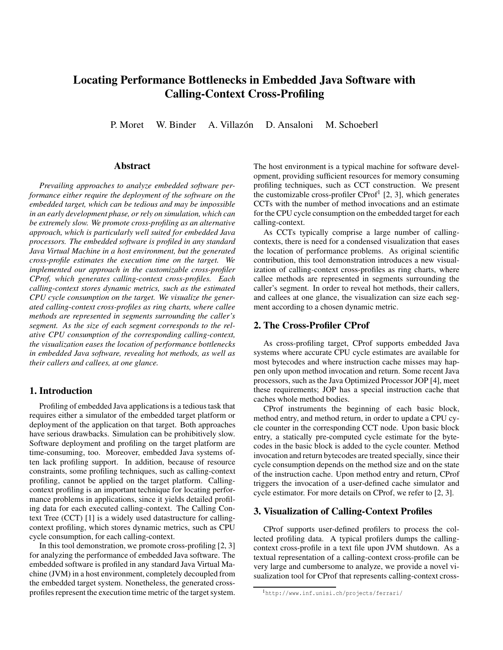# Locating Performance Bottlenecks in Embedded Java Software with Calling-Context Cross-Profiling

P. Moret W. Binder A. Villazón D. Ansaloni M. Schoeberl

#### Abstract

*Prevailing approaches to analyze embedded software performance either require the deployment of the software on the embedded target, which can be tedious and may be impossible in an early development phase, or rely on simulation, which can be extremely slow. We promote cross-profiling as an alternative approach, which is particularly well suited for embedded Java processors. The embedded software is profiled in any standard Java Virtual Machine in a host environment, but the generated cross-profile estimates the execution time on the target. We implemented our approach in the customizable cross-profiler CProf, which generates calling-context cross-profiles. Each calling-context stores dynamic metrics, such as the estimated CPU cycle consumption on the target. We visualize the generated calling-context cross-profiles as ring charts, where callee methods are represented in segments surrounding the caller's segment. As the size of each segment corresponds to the relative CPU consumption of the corresponding calling-context, the visualization eases the location of performance bottlenecks in embedded Java software, revealing hot methods, as well as their callers and callees, at one glance.*

## 1. Introduction

Profiling of embedded Java applications is a tedious task that requires either a simulator of the embedded target platform or deployment of the application on that target. Both approaches have serious drawbacks. Simulation can be prohibitively slow. Software deployment and profiling on the target platform are time-consuming, too. Moreover, embedded Java systems often lack profiling support. In addition, because of resource constraints, some profiling techniques, such as calling-context profiling, cannot be applied on the target platform. Callingcontext profiling is an important technique for locating performance problems in applications, since it yields detailed profiling data for each executed calling-context. The Calling Context Tree (CCT) [1] is a widely used datastructure for callingcontext profiling, which stores dynamic metrics, such as CPU cycle consumption, for each calling-context.

In this tool demonstration, we promote cross-profiling [2, 3] for analyzing the performance of embedded Java software. The embedded software is profiled in any standard Java Virtual Machine (JVM) in a host environment, completely decoupled from the embedded target system. Nonetheless, the generated crossprofiles represent the execution time metric of the target system. The host environment is a typical machine for software development, providing sufficient resources for memory consuming profiling techniques, such as CCT construction. We present the customizable cross-profiler  $CProf<sup>1</sup>$  [2, 3], which generates CCTs with the number of method invocations and an estimate for the CPU cycle consumption on the embedded target for each calling-context.

As CCTs typically comprise a large number of callingcontexts, there is need for a condensed visualization that eases the location of performance problems. As original scientific contribution, this tool demonstration introduces a new visualization of calling-context cross-profiles as ring charts, where callee methods are represented in segments surrounding the caller's segment. In order to reveal hot methods, their callers, and callees at one glance, the visualization can size each segment according to a chosen dynamic metric.

# 2. The Cross-Profiler CProf

As cross-profiling target, CProf supports embedded Java systems where accurate CPU cycle estimates are available for most bytecodes and where instruction cache misses may happen only upon method invocation and return. Some recent Java processors, such as the Java Optimized Processor JOP [4], meet these requirements; JOP has a special instruction cache that caches whole method bodies.

CProf instruments the beginning of each basic block, method entry, and method return, in order to update a CPU cycle counter in the corresponding CCT node. Upon basic block entry, a statically pre-computed cycle estimate for the bytecodes in the basic block is added to the cycle counter. Method invocation and return bytecodes are treated specially, since their cycle consumption depends on the method size and on the state of the instruction cache. Upon method entry and return, CProf triggers the invocation of a user-defined cache simulator and cycle estimator. For more details on CProf, we refer to [2, 3].

#### 3. Visualization of Calling-Context Profiles

CProf supports user-defined profilers to process the collected profiling data. A typical profilers dumps the callingcontext cross-profile in a text file upon JVM shutdown. As a textual representation of a calling-context cross-profile can be very large and cumbersome to analyze, we provide a novel visualization tool for CProf that represents calling-context cross-

<sup>1</sup>http://www.inf.unisi.ch/projects/ferrari/